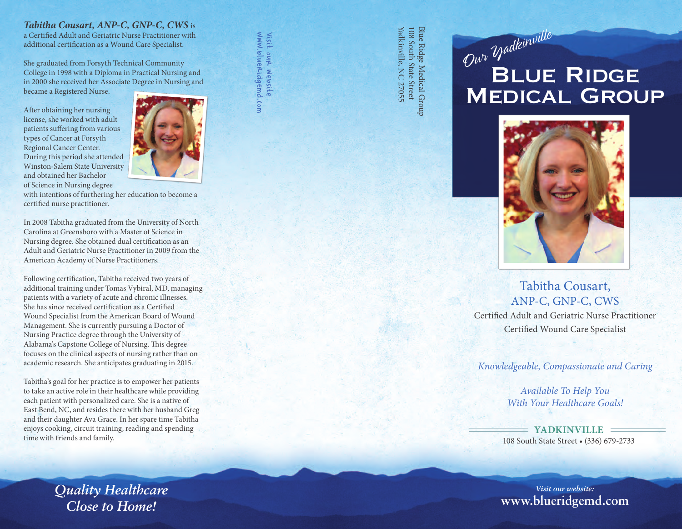### *Tabitha Cousart, ANP-C, GNP-C, CWS* is

a Certified Adult and Geriatric Nurse Practitioner with additional certification as a Wound Care Specialist.

She graduated from Forsyth Technical Community College in 1998 with a Diploma in Practical Nursing and in 2000 she received her Associate Degree in Nursing and became a Registered Nurse.

After obtaining her nursing license, she worked with adult patients suffering from various types of Cancer at Forsyth Regional Cancer Center. During this period she attended Winston-Salem State University and obtained her Bachelor of Science in Nursing degree



www.blueridgemd.com Visit our website

1. Com

Visit our website<br>www.blueridgemd

with intentions of furthering her education to become a certified nurse practitioner.

In 2008 Tabitha graduated from the University of North Carolina at Greensboro with a Master of Science in Nursing degree. She obtained dual certification as an Adult and Geriatric Nurse Practitioner in 2009 from the American Academy of Nurse Practitioners.

Following certification, Tabitha received two years of additional training under Tomas Vybiral, MD, managing patients with a variety of acute and chronic illnesses. She has since received certification as a Certified Wound Specialist from the American Board of Wound Management. She is currently pursuing a Doctor of Nursing Practice degree through the University of Alabama's Capstone College of Nursing. This degree focuses on the clinical aspects of nursing rather than on academic research. She anticipates graduating in 2015.

Tabitha's goal for her practice is to empower her patients to take an active role in their healthcare while providing each patient with personalized care. She is a native of East Bend, NC, and resides there with her husband Greg and their daughter Ava Grace. In her spare time Tabitha enjoys cooking, circuit training, reading and spending time with friends and family.

108 South State Street Blue Ridge Medical Group Yadkinville, NC 27055 Yadkinville, NC 27055 108 South State Street Blue Ridge Medical Group

# **BLUE RIDGE** Medical Group Our Yadkinville



# Tabitha Cousart, ANP-C, GNP-C, CWS

Certified Adult and Geriatric Nurse Practitioner Certified Wound Care Specialist

*Knowledgeable, Compassionate and Caring*

*Available To Help You With Your Healthcare Goals!*

**YADKINVILLE** 108 South State Street • (336) 679-2733

*Visit our website:* **www.blueridgemd.com**

*Quality Healthcare Close to Home!*